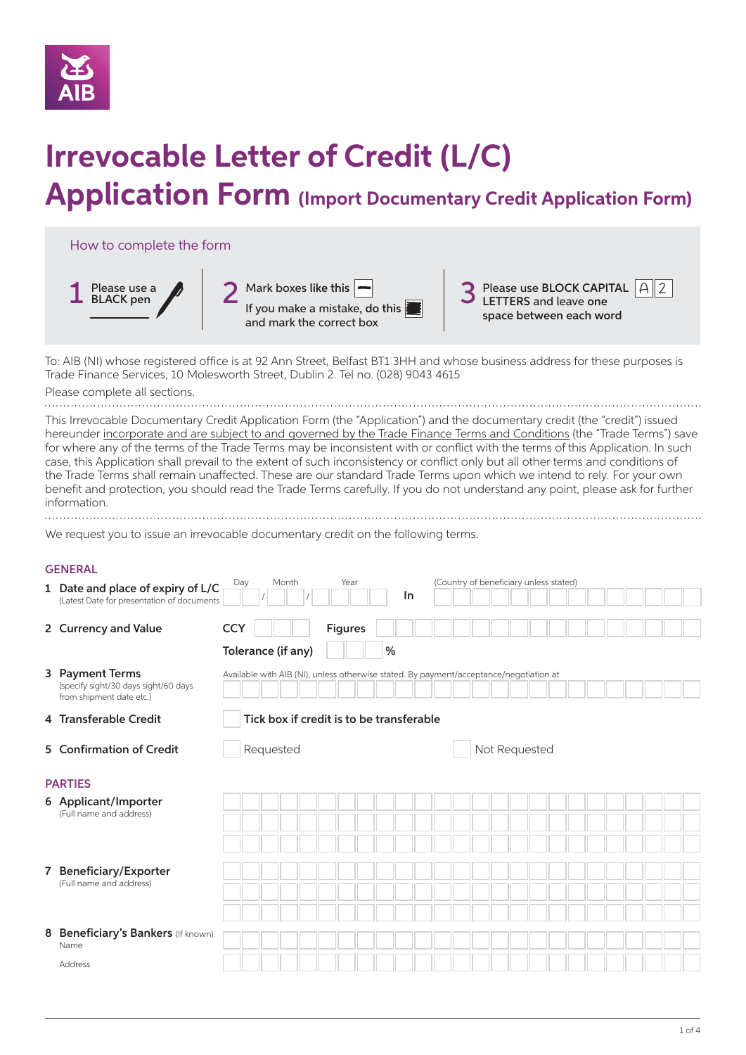

# **Irrevocable Letter of Credit (L/C)**

# **Application Form (Import Documentary Credit Application Form)**



To: AIB (NI) whose registered office is at 92 Ann Street, Belfast BT1 3HH and whose business address for these purposes is Trade Finance Services, 10 Molesworth Street, Dublin 2. Tel no. (028) 9043 4615

Please complete all sections.

This Irrevocable Documentary Credit Application Form (the "Application") and the documentary credit (the "credit") issued hereunder incorporate and are subject to and governed by the Trade Finance Terms and Conditions (the "Trade Terms") save for where any of the terms of the Trade Terms may be inconsistent with or conflict with the terms of this Application. In such case, this Application shall prevail to the extent of such inconsistency or conflict only but all other terms and conditions of the Trade Terms shall remain unaffected. These are our standard Trade Terms upon which we intend to rely. For your own benefit and protection, you should read the Trade Terms carefully. If you do not understand any point, please ask for further information.

We request you to issue an irrevocable documentary credit on the following terms.

#### **GENERAL**

|   | 1 Date and place of expiry of L/C<br>(Latest Date for presentation of documents     | Month<br>Day       | Year<br>In                               | (Country of beneficiary unless stated)                                                 |  |
|---|-------------------------------------------------------------------------------------|--------------------|------------------------------------------|----------------------------------------------------------------------------------------|--|
|   | 2 Currency and Value                                                                | <b>CCY</b>         | <b>Figures</b>                           |                                                                                        |  |
|   |                                                                                     | Tolerance (if any) | %                                        |                                                                                        |  |
|   | 3 Payment Terms<br>(specify sight/30 days sight/60 days<br>from shipment date etc.) |                    |                                          | Available with AIB (NI), unless otherwise stated. By payment/acceptance/negotiation at |  |
|   | 4 Transferable Credit                                                               |                    | Tick box if credit is to be transferable |                                                                                        |  |
|   | 5 Confirmation of Credit                                                            | Requested          |                                          | Not Requested                                                                          |  |
|   | <b>PARTIES</b>                                                                      |                    |                                          |                                                                                        |  |
|   | 6 Applicant/Importer<br>(Full name and address)                                     |                    |                                          |                                                                                        |  |
|   |                                                                                     |                    |                                          |                                                                                        |  |
|   | 7 Beneficiary/Exporter<br>(Full name and address)                                   |                    |                                          |                                                                                        |  |
|   |                                                                                     |                    |                                          |                                                                                        |  |
|   |                                                                                     |                    |                                          |                                                                                        |  |
| 8 | Beneficiary's Bankers (If known)<br>Name                                            |                    |                                          |                                                                                        |  |
|   | Address                                                                             |                    |                                          |                                                                                        |  |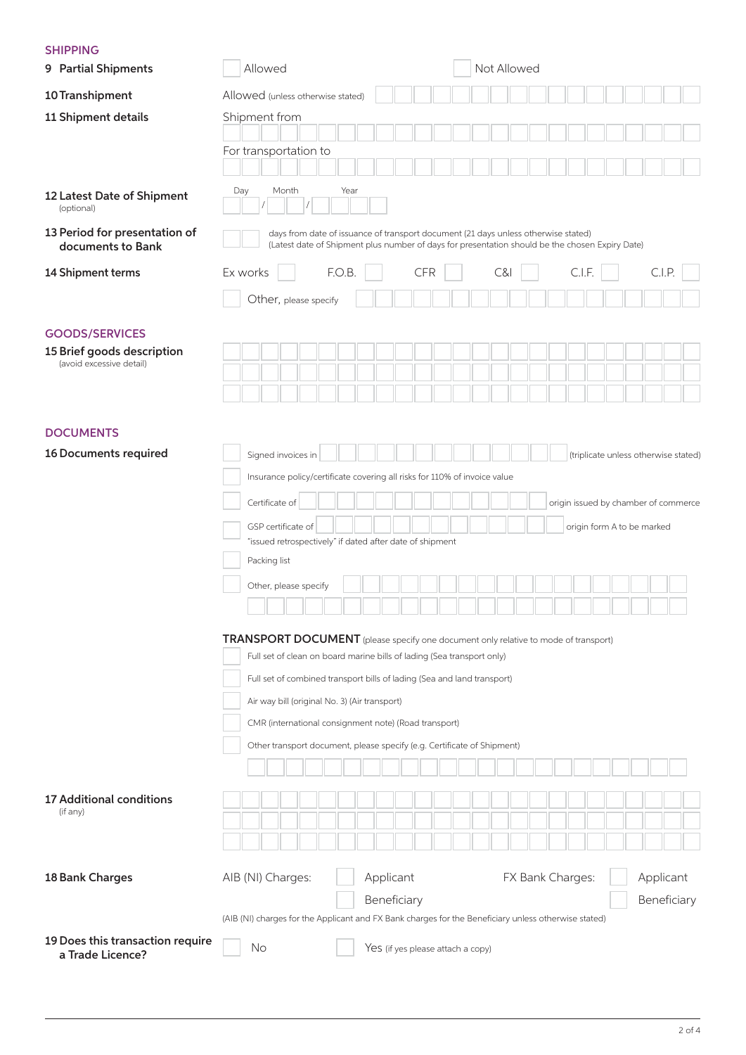#### SHIPPING

| 9 Partial Shipments                                  | Not Allowed<br>Allowed                                                                                                                                                                |             |  |  |  |  |  |  |
|------------------------------------------------------|---------------------------------------------------------------------------------------------------------------------------------------------------------------------------------------|-------------|--|--|--|--|--|--|
| 10 Transhipment                                      | Allowed (unless otherwise stated)                                                                                                                                                     |             |  |  |  |  |  |  |
| 11 Shipment details                                  | Shipment from                                                                                                                                                                         |             |  |  |  |  |  |  |
|                                                      | For transportation to                                                                                                                                                                 |             |  |  |  |  |  |  |
|                                                      |                                                                                                                                                                                       |             |  |  |  |  |  |  |
| 12 Latest Date of Shipment<br>(optional)             | Month<br>Year<br>Day                                                                                                                                                                  |             |  |  |  |  |  |  |
| 13 Period for presentation of<br>documents to Bank   | days from date of issuance of transport document (21 days unless otherwise stated)<br>(Latest date of Shipment plus number of days for presentation should be the chosen Expiry Date) |             |  |  |  |  |  |  |
| 14 Shipment terms                                    | F.O.B.<br>C.I.F.<br>Ex works<br><b>CFR</b><br>C&I                                                                                                                                     | C.I.P.      |  |  |  |  |  |  |
|                                                      | Other, please specify                                                                                                                                                                 |             |  |  |  |  |  |  |
| <b>GOODS/SERVICES</b>                                |                                                                                                                                                                                       |             |  |  |  |  |  |  |
| 15 Brief goods description                           |                                                                                                                                                                                       |             |  |  |  |  |  |  |
| (avoid excessive detail)                             |                                                                                                                                                                                       |             |  |  |  |  |  |  |
|                                                      |                                                                                                                                                                                       |             |  |  |  |  |  |  |
|                                                      |                                                                                                                                                                                       |             |  |  |  |  |  |  |
| <b>DOCUMENTS</b><br>16 Documents required            |                                                                                                                                                                                       |             |  |  |  |  |  |  |
|                                                      | Signed invoices in<br>(triplicate unless otherwise stated)<br>Insurance policy/certificate covering all risks for 110% of invoice value                                               |             |  |  |  |  |  |  |
|                                                      |                                                                                                                                                                                       |             |  |  |  |  |  |  |
|                                                      | Certificate of<br>origin issued by chamber of commerce                                                                                                                                |             |  |  |  |  |  |  |
|                                                      | GSP certificate of<br>origin form A to be marked<br>"issued retrospectively" if dated after date of shipment                                                                          |             |  |  |  |  |  |  |
|                                                      | Packing list                                                                                                                                                                          |             |  |  |  |  |  |  |
|                                                      | Other, please specify                                                                                                                                                                 |             |  |  |  |  |  |  |
|                                                      |                                                                                                                                                                                       |             |  |  |  |  |  |  |
|                                                      | <b>TRANSPORT DOCUMENT</b> (please specify one document only relative to mode of transport)                                                                                            |             |  |  |  |  |  |  |
|                                                      | Full set of clean on board marine bills of lading (Sea transport only)                                                                                                                |             |  |  |  |  |  |  |
|                                                      | Full set of combined transport bills of lading (Sea and land transport)                                                                                                               |             |  |  |  |  |  |  |
|                                                      | Air way bill (original No. 3) (Air transport)                                                                                                                                         |             |  |  |  |  |  |  |
|                                                      | CMR (international consignment note) (Road transport)                                                                                                                                 |             |  |  |  |  |  |  |
|                                                      | Other transport document, please specify (e.g. Certificate of Shipment)                                                                                                               |             |  |  |  |  |  |  |
|                                                      |                                                                                                                                                                                       |             |  |  |  |  |  |  |
| <b>17 Additional conditions</b>                      |                                                                                                                                                                                       |             |  |  |  |  |  |  |
| (if any)                                             |                                                                                                                                                                                       |             |  |  |  |  |  |  |
|                                                      |                                                                                                                                                                                       |             |  |  |  |  |  |  |
| 18 Bank Charges                                      | AIB (NI) Charges:<br>Applicant<br>FX Bank Charges:                                                                                                                                    | Applicant   |  |  |  |  |  |  |
|                                                      | Beneficiary                                                                                                                                                                           | Beneficiary |  |  |  |  |  |  |
|                                                      | (AIB (NI) charges for the Applicant and FX Bank charges for the Beneficiary unless otherwise stated)                                                                                  |             |  |  |  |  |  |  |
| 19 Does this transaction require<br>a Trade Licence? | No<br>Yes (if yes please attach a copy)                                                                                                                                               |             |  |  |  |  |  |  |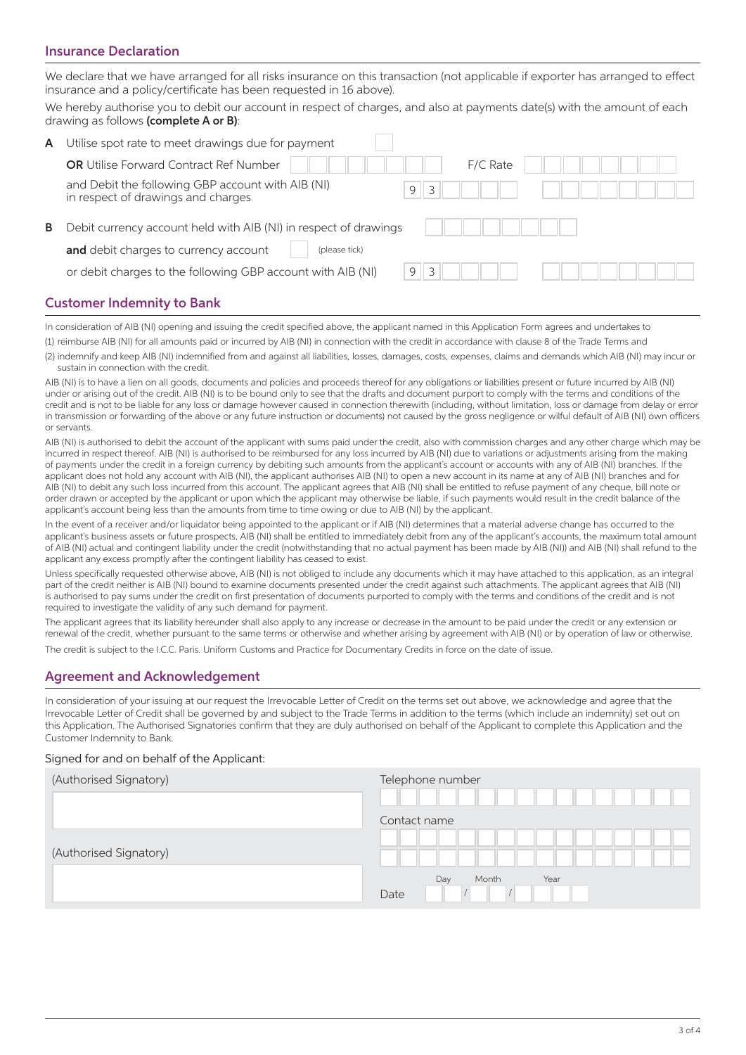#### Insurance Declaration

We declare that we have arranged for all risks insurance on this transaction (not applicable if exporter has arranged to effect insurance and a policy/certificate has been requested in 16 above).

We hereby authorise you to debit our account in respect of charges, and also at payments date(s) with the amount of each drawing as follows (complete A or B):

| A | Utilise spot rate to meet drawings due for payment                                                                         |  |  |  |  |  |
|---|----------------------------------------------------------------------------------------------------------------------------|--|--|--|--|--|
|   | <b>OR</b> Utilise Forward Contract Ref Number<br>F/C Rate                                                                  |  |  |  |  |  |
|   | and Debit the following GBP account with AIB (NI)<br>9<br>in respect of drawings and charges                               |  |  |  |  |  |
| в | Debit currency account held with AIB (NI) in respect of drawings<br>and debit charges to currency account<br>(please tick) |  |  |  |  |  |
|   | 9<br>or debit charges to the following GBP account with AIB (NI)<br>$\mathcal{L}$                                          |  |  |  |  |  |
|   |                                                                                                                            |  |  |  |  |  |

### Customer Indemnity to Bank

In consideration of AIB (NI) opening and issuing the credit specified above, the applicant named in this Application Form agrees and undertakes to (1) reimburse AIB (NI) for all amounts paid or incurred by AIB (NI) in connection with the credit in accordance with clause 8 of the Trade Terms and

(2) indemnify and keep AIB (NI) indemnified from and against all liabilities, losses, damages, costs, expenses, claims and demands which AIB (NI) may incur or sustain in connection with the credit.

AIB (NI) is to have a lien on all goods, documents and policies and proceeds thereof for any obligations or liabilities present or future incurred by AIB (NI) under or arising out of the credit. AIB (NI) is to be bound only to see that the drafts and document purport to comply with the terms and conditions of the credit and is not to be liable for any loss or damage however caused in connection therewith (including, without limitation, loss or damage from delay or error in transmission or forwarding of the above or any future instruction or documents) not caused by the gross negligence or wilful default of AIB (NI) own officers or servants.

AIB (NI) is authorised to debit the account of the applicant with sums paid under the credit, also with commission charges and any other charge which may be incurred in respect thereof. AIB (NI) is authorised to be reimbursed for any loss incurred by AIB (NI) due to variations or adjustments arising from the making of payments under the credit in a foreign currency by debiting such amounts from the applicant's account or accounts with any of AIB (NI) branches. If the applicant does not hold any account with AIB (NI), the applicant authorises AIB (NI) to open a new account in its name at any of AIB (NI) branches and for AIB (NI) to debit any such loss incurred from this account. The applicant agrees that AIB (NI) shall be entitled to refuse payment of any cheque, bill note or order drawn or accepted by the applicant or upon which the applicant may otherwise be liable, if such payments would result in the credit balance of the applicant's account being less than the amounts from time to time owing or due to AIB (NI) by the applicant.

In the event of a receiver and/or liquidator being appointed to the applicant or if AIB (NI) determines that a material adverse change has occurred to the applicant's business assets or future prospects, AIB (NI) shall be entitled to immediately debit from any of the applicant's accounts, the maximum total amount of AIB (NI) actual and contingent liability under the credit (notwithstanding that no actual payment has been made by AIB (NI)) and AIB (NI) shall refund to the applicant any excess promptly after the contingent liability has ceased to exist.

Unless specifically requested otherwise above, AIB (NI) is not obliged to include any documents which it may have attached to this application, as an integral part of the credit neither is AIB (NI) bound to examine documents presented under the credit against such attachments. The applicant agrees that AIB (NI) is authorised to pay sums under the credit on first presentation of documents purported to comply with the terms and conditions of the credit and is not required to investigate the validity of any such demand for payment.

The applicant agrees that its liability hereunder shall also apply to any increase or decrease in the amount to be paid under the credit or any extension or renewal of the credit, whether pursuant to the same terms or otherwise and whether arising by agreement with AIB (NI) or by operation of law or otherwise.

The credit is subject to the I.C.C. Paris. Uniform Customs and Practice for Documentary Credits in force on the date of issue.

#### Agreement and Acknowledgement

In consideration of your issuing at our request the Irrevocable Letter of Credit on the terms set out above, we acknowledge and agree that the Irrevocable Letter of Credit shall be governed by and subject to the Trade Terms in addition to the terms (which include an indemnity) set out on this Application. The Authorised Signatories confirm that they are duly authorised on behalf of the Applicant to complete this Application and the Customer Indemnity to Bank.

#### Signed for and on behalf of the Applicant:

| (Authorised Signatory) | Telephone number             |
|------------------------|------------------------------|
| (Authorised Signatory) | Contact name                 |
|                        | Day<br>Year<br>Month<br>Date |